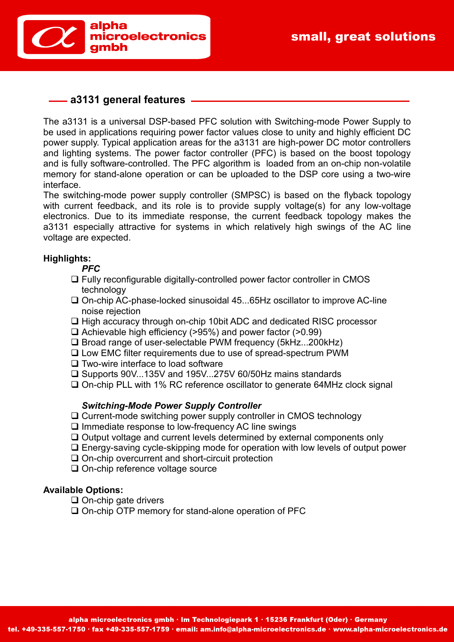



## **a3131 general features**

The a3131 is a universal DSP-based PFC solution with Switching-mode Power Supply to be used in applications requiring power factor values close to unity and highly efficient DC power supply. Typical application areas for the a3131 are high-power DC motor controllers and lighting systems. The power factor controller (PFC) is based on the boost topology and is fully software-controlled. The PFC algorithm is loaded from an on-chip non-volatile memory for stand-alone operation or can be uploaded to the DSP core using a two-wire interface.

The switching-mode power supply controller (SMPSC) is based on the flyback topology with current feedback, and its role is to provide supply voltage(s) for any low-voltage electronics. Due to its immediate response, the current feedback topology makes the a3131 especially attractive for systems in which relatively high swings of the AC line voltage are expected.

### **Highlights:**

*PFC*

- Fully reconfigurable digitally-controlled power factor controller in CMOS technology
- □ On-chip AC-phase-locked sinusoidal 45...65Hz oscillator to improve AC-line noise rejection
- □ High accuracy through on-chip 10bit ADC and dedicated RISC processor
- $\Box$  Achievable high efficiency (>95%) and power factor (>0.99)
- □ Broad range of user-selectable PWM frequency (5kHz...200kHz)
- Low EMC filter requirements due to use of spread-spectrum PWM
- $\square$  Two-wire interface to load software
- □ Supports 90V...135V and 195V...275V 60/50Hz mains standards
- □ On-chip PLL with 1% RC reference oscillator to generate 64MHz clock signal

#### *Switching-Mode Power Supply Controller*

- Current-mode switching power supply controller in CMOS technology
- $\square$  Immediate response to low-frequency AC line swings
- $\Box$  Output voltage and current levels determined by external components only
- Energy-saving cycle-skipping mode for operation with low levels of output power
- □ On-chip overcurrent and short-circuit protection
- □ On-chip reference voltage source

#### **Available Options:**

- $\Box$  On-chip gate drivers
- □ On-chip OTP memory for stand-alone operation of PFC